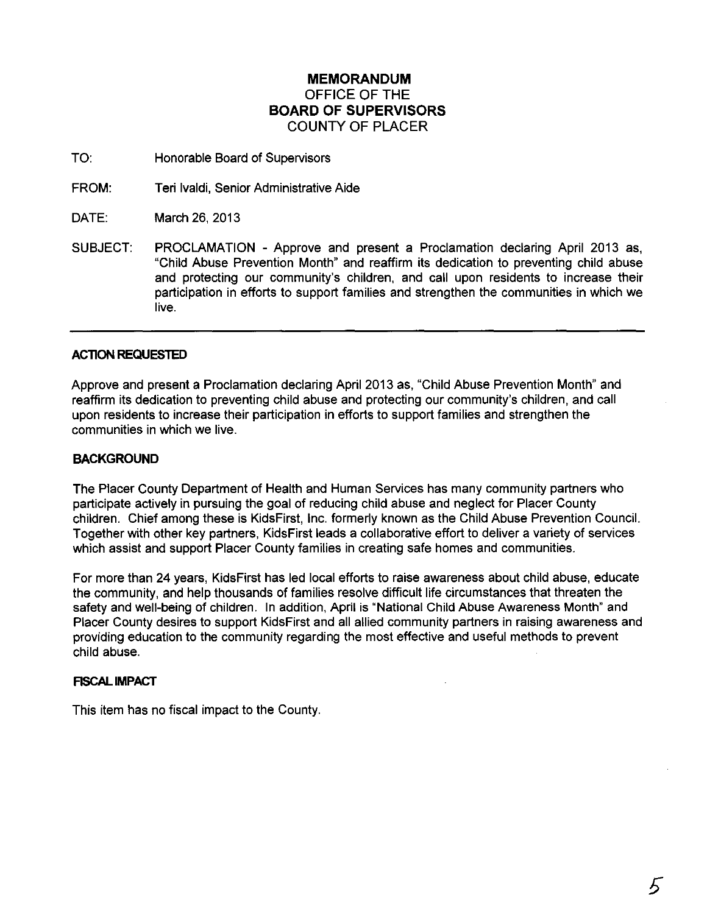# **MEMORANDUM** OFFICE OF THE **BOARD OF SUPERVISORS** COUNTY OF PLACER

TO: Honorable Board of Supervisors

FROM: Teri Ivaldi, Senior Administrative Aide

DATE: March 26,2013

SUBJECT: PROCLAMATION - Approve and present a Proclamation declaring April 2013 as, "Child Abuse Prevention Month" and reaffirm its dedication to preventing child abuse and protecting our community's children, and call upon residents to increase their participation in efforts to support families and strengthen the communities in which we live.

## **AC110N REQUESTED**

Approve and present a Proclamation declaring April 2013 as, "Child Abuse Prevention Month" and reaffirm its dedication to preventing child abuse and protecting our community's children, and call upon residents to increase their participation in efforts to support families and strengthen the communities in which we live.

### **BACKGROUND**

The Placer County Department of Health and Human Services has many community partners who participate actively in pursuing the goal of reducing child abuse and neglect for Placer County children. Chief among these is KidsFirst, Inc. formerly known as the Child Abuse Prevention Council. Together with other key partners, KidsFirst leads a collaborative effort to deliver a variety of services which assist and support Placer County families in creating safe homes and communities.

For more than 24 years, KidsFirst has led local efforts to raise awareness about child abuse, educate the community, and help thousands of families resolve difficult life circumstances that threaten the safety and well-being of children. In addition, April is "National Child Abuse Awareness Month" and Placer County desires to support KidsFirst and all allied community partners in raising awareness and providing education to the community regarding the most effective and useful methods to prevent child abuse.

### **FISCAL IMPACT**

This item has no fiscal impact to the County.